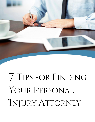

# 7 Tips for finding YOUR PERSONAL INJURY ATTORNEY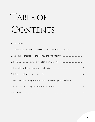# TABLE OF CONTENTS

| 1. An attorney should be specialized in only a couple areas of law 4 |  |
|----------------------------------------------------------------------|--|
|                                                                      |  |
|                                                                      |  |
|                                                                      |  |
|                                                                      |  |
|                                                                      |  |
|                                                                      |  |
|                                                                      |  |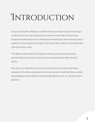## <span id="page-2-0"></span>**INTRODUCTION**

If you are a Seattle or Bellevue resident that has just been in a personal injury accident, there are a few things that you need to know. We find that many people misunderstand or are confused by personal injury laws and have quite a number of misconceptions that get in the way of their ability to successfully file a personal injury claim.

This eBook explains the most important things you need to know about personal injury attorneys, so that you are well equipped to make the best choice.

Dax Jones, our lead attorney, ensures that his services remain up to these standards. His efforts are proven by his track record of satisfied clients, and by his prestigious awards that he's achieved during his career as a personal injury attorney.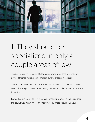

#### <span id="page-3-0"></span>I. They should be specialized in only a couple areas of law

The best attorneys in Seattle, Bellevue, and world-wide are those that have devoted themselves to specific areas of law and practice it regularly.

There is a reason that divorce attorneys don't handle personal injury, and vice versa. These legal matters are extremely complex and take years of experience to master.

It would be like having a brain tumor, but choosing to go see a podiatrist about the issue. If you're paying for an attorney, you want to be sure that your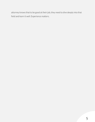attorney knows that to be good at their job, they need to dive deeply into that field and learn it well. Experience matters.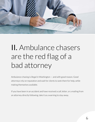

### <span id="page-5-0"></span>II. Ambulance chasers are the red flag of a bad attorney

Ambulance chasing is illegal in Washington — and with good reason. Good attorneys rely on reputation and wait for clients to seek them for help, while making themselves available.

If you have been in an accident and have received a call, letter, or a mailing from an attorney directly following, take it as a warning to stay away.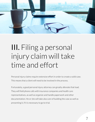

### <span id="page-6-0"></span>III. Filing a personal injury claim will take time and effort

Personal injury claims require extensive effort in order to create a solid case. This means that a client will need to be involved in the process.

Fortunately, a good personal injury attorney can greatly alleviate that load. They will field phone calls with insurance companies and health care representatives, as well as organize and handle paperwork and other documentation. He or she will take also care of building the case as well as presenting it, if it is necessary to go to trial.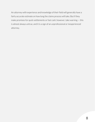An attorney with experience and knowledge of their field will generally have a fairly accurate estimate on how long the claims process will take. But if they make promises for quick settlements or fast cash, however, take warning — this is almost always untrue, and it is a sign of an unprofessional or inexperienced attorney.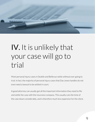

#### <span id="page-8-0"></span>IV. It is unlikely that your case will go to trial

Most personal injury cases in Seattle and Bellevue settle without ever going to trial. In fact, the majority of personal injury cases that Dax Jones handles do not even need a lawsuit to be settled in court.

A good attorney can usually get all the important information they need to file and settle the case with the insurance company. This usually cuts the time of the case down considerably, and is therefore much less expensive for the client.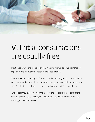

#### <span id="page-9-0"></span>V. Initial consultations are usually free

Most people have the expectation that meeting with an attorney is incredibly expensive and far out of the reach of their pocketbook.

This fear means that many don't even consider reaching out to a personal injury attorney after they are injured. In reality, most good personal injury attorneys offer free initial consultations — we certainly do, here at The Jones Firm.

A good attorney is always willing to meet with possible clients to discuss the basic facts of the case and let you know, in their opinion, whether or not you have a good basis for a claim.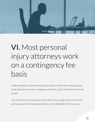

### <span id="page-10-0"></span>VI. Most personal injury attorneys work on a contingency fee basis

Understandably, an attorney needs to be paid for his/her time. Many personal injury attorneys work on a 'contingency fee' basis, and at The Jones Firm, we do as well.

This means that when we bring on new clients case, we get no fee for our work until you get paid. Hiring a great attorney can be affordable in this way, as no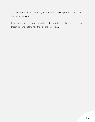payment is due for services until you've received the compensation from the insurance companies.

Before you hire an attorney in Seattle or Bellevue, be sure that you discuss and thoroughly understand how they bill their legal fees.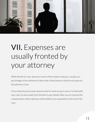

#### <span id="page-12-0"></span>VII. Expenses are usually fronted by your attorney

While the fee for your attorney's work will be stated in advance, usually as a percentage of the settlement rather than a fixed amount, that fee only pays for the attorney's time.

If your attorney has to pay someone else for work on your case or to help build your case, he will usually front the bill on your behalf. After you've received the compensation, those expenses will be billed to you separately at the end of the case.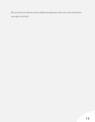Be sure that you discuss these additional expenses with your attorney before you sign a contract.